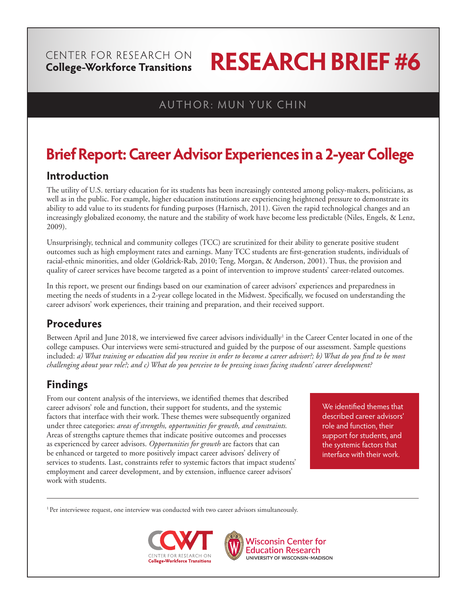## CENTER FOR RESEARCH ON **College-Workforce Transitions**

# **RESEARCH BRIEF #6**

## AUTHOR: MUN YUK CHIN

## **Brief Report: Career Advisor Experiences in a 2-year College**

## **Introduction**

The utility of U.S. tertiary education for its students has been increasingly contested among policy-makers, politicians, as well as in the public. For example, higher education institutions are experiencing heightened pressure to demonstrate its ability to add value to its students for funding purposes (Harnisch, 2011). Given the rapid technological changes and an increasingly globalized economy, the nature and the stability of work have become less predictable (Niles, Engels, & Lenz, 2009).

Unsurprisingly, technical and community colleges (TCC) are scrutinized for their ability to generate positive student outcomes such as high employment rates and earnings. Many TCC students are first-generation students, individuals of racial-ethnic minorities, and older (Goldrick-Rab, 2010; Teng, Morgan, & Anderson, 2001). Thus, the provision and quality of career services have become targeted as a point of intervention to improve students' career-related outcomes.

In this report, we present our findings based on our examination of career advisors' experiences and preparedness in meeting the needs of students in a 2-year college located in the Midwest. Specifically, we focused on understanding the career advisors' work experiences, their training and preparation, and their received support.

## **Procedures**

Between April and June 2018, we interviewed five career advisors individually<sup>1</sup> in the Career Center located in one of the college campuses. Our interviews were semi-structured and guided by the purpose of our assessment. Sample questions included: *a) What training or education did you receive in order to become a career advisor?; b) What do you find to be most challenging about your role?; and c) What do you perceive to be pressing issues facing students' career development?* 

## **Findings**

From our content analysis of the interviews, we identified themes that described career advisors' role and function, their support for students, and the systemic factors that interface with their work. These themes were subsequently organized under three categories: *areas of strengths, opportunities for growth, and constraints.* Areas of strengths capture themes that indicate positive outcomes and processes as experienced by career advisors. *Opportunities for growth* are factors that can be enhanced or targeted to more positively impact career advisors' delivery of services to students. Last, constraints refer to systemic factors that impact students' employment and career development, and by extension, influence career advisors' work with students.

We identified themes that described career advisors' role and function, their support for students, and the systemic factors that interface with their work.

<sup>1</sup> Per interviewee request, one interview was conducted with two career advisors simultaneously.





**Wisconsin Center for Education Research** UNIVERSITY OF WISCONSIN-MADISON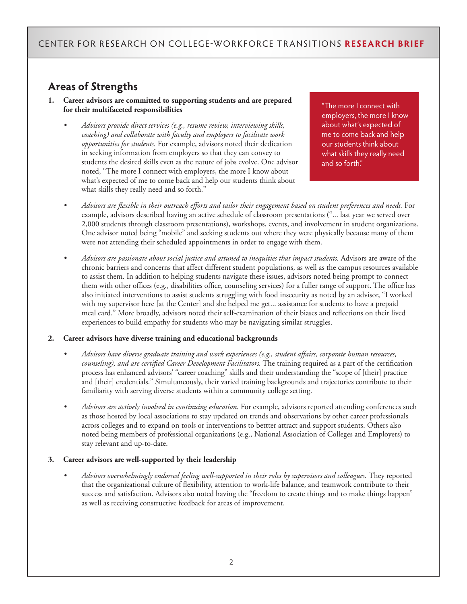## CENTER FOR RESEARCH ON COLLEGE-WORKFORCE TRANSITIONS **RESEARCH BRIEF**

## **Areas of Strengths**

- **1. Career advisors are committed to supporting students and are prepared for their multifaceted responsibilities** 
	- *Advisors provide direct services (e.g., resume review, interviewing skills, coaching) and collaborate with faculty and employers to facilitate work opportunities for students.* For example, advisors noted their dedication in seeking information from employers so that they can convey to students the desired skills even as the nature of jobs evolve. One advisor noted, "The more I connect with employers, the more I know about what's expected of me to come back and help our students think about what skills they really need and so forth."

"The more I connect with employers, the more I know about what's expected of me to come back and help our students think about what skills they really need and so forth."

- *Advisors are flexible in their outreach efforts and tailor their engagement based on student preferences and needs.* For example, advisors described having an active schedule of classroom presentations ("... last year we served over 2,000 students through classroom presentations), workshops, events, and involvement in student organizations. One advisor noted being "mobile" and seeking students out where they were physically because many of them were not attending their scheduled appointments in order to engage with them.
- *Advisors are passionate about social justice and attuned to inequities that impact students.* Advisors are aware of the chronic barriers and concerns that affect different student populations, as well as the campus resources available to assist them. In addition to helping students navigate these issues, advisors noted being prompt to connect them with other offices (e.g., disabilities office, counseling services) for a fuller range of support. The office has also initiated interventions to assist students struggling with food insecurity as noted by an advisor, "I worked with my supervisor here [at the Center] and she helped me get... assistance for students to have a prepaid meal card." More broadly, advisors noted their self-examination of their biases and reflections on their lived experiences to build empathy for students who may be navigating similar struggles.

#### **2. Career advisors have diverse training and educational backgrounds**

- *Advisors have diverse graduate training and work experiences (e.g., student affairs, corporate human resources, counseling), and are certified Career Development Facilitators.* The training required as a part of the certification process has enhanced advisors' "career coaching" skills and their understanding the "scope of [their] practice and [their] credentials." Simultaneously, their varied training backgrounds and trajectories contribute to their familiarity with serving diverse students within a community college setting.
- *Advisors are actively involved in continuing education.* For example, advisors reported attending conferences such as those hosted by local associations to stay updated on trends and observations by other career professionals across colleges and to expand on tools or interventions to bettter attract and support students. Others also noted being members of professional organizations (e.g., National Association of Colleges and Employers) to stay relevant and up-to-date.

#### **3. Career advisors are well-supported by their leadership**

• *Advisors overwhelmingly endorsed feeling well-supported in their roles by supervisors and colleagues.* They reported that the organizational culture of flexibility, attention to work-life balance, and teamwork contribute to their success and satisfaction. Advisors also noted having the "freedom to create things and to make things happen" as well as receiving constructive feedback for areas of improvement.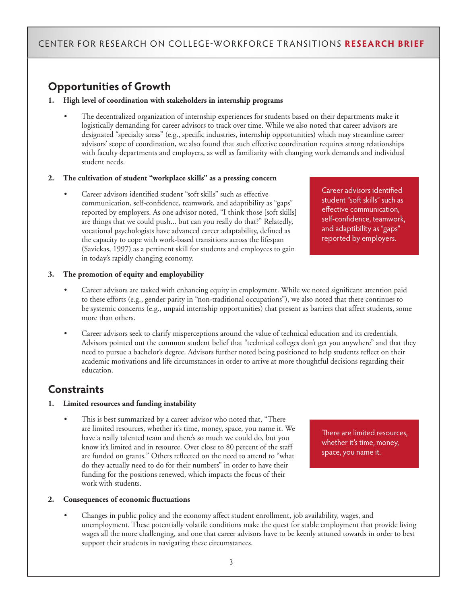## CENTER FOR RESEARCH ON COLLEGE-WORKFORCE TRANSITIONS **RESEARCH BRIEF**

## **Opportunities of Growth**

#### **1. High level of coordination with stakeholders in internship programs**

• The decentralized organization of internship experiences for students based on their departments make it logistically demanding for career advisors to track over time. While we also noted that career advisors are designated "specialty areas" (e.g., specific industries, internship opportunities) which may streamline career advisors' scope of coordination, we also found that such effective coordination requires strong relationships with faculty departments and employers, as well as familiarity with changing work demands and individual student needs.

#### **2. The cultivation of student "workplace skills" as a pressing concern**

• Career advisors identified student "soft skills" such as effective communication, self-confidence, teamwork, and adaptibility as "gaps" reported by employers. As one advisor noted, "I think those [soft skills] are things that we could push... but can you really do that?" Relatedly, vocational psychologists have advanced career adaptability, defined as the capacity to cope with work-based transitions across the lifespan (Savickas, 1997) as a pertinent skill for students and employees to gain in today's rapidly changing economy.

Career advisors identified student "soft skills" such as effective communication, self-confidence, teamwork, and adaptibility as "gaps" reported by employers.

#### **3. The promotion of equity and employability**

- Career advisors are tasked with enhancing equity in employment. While we noted significant attention paid to these efforts (e.g., gender parity in "non-traditional occupations"), we also noted that there continues to be systemic concerns (e.g., unpaid internship opportunities) that present as barriers that affect students, some more than others.
- Career advisors seek to clarify misperceptions around the value of technical education and its credentials. Advisors pointed out the common student belief that "technical colleges don't get you anywhere" and that they need to pursue a bachelor's degree. Advisors further noted being positioned to help students reflect on their academic motivations and life circumstances in order to arrive at more thoughtful decisions regarding their education.

## **Constraints**

#### **1. Limited resources and funding instability**

This is best summarized by a career advisor who noted that, "There are limited resources, whether it's time, money, space, you name it. We have a really talented team and there's so much we could do, but you know it's limited and in resource. Over close to 80 percent of the staff are funded on grants." Others reflected on the need to attend to "what do they actually need to do for their numbers" in order to have their funding for the positions renewed, which impacts the focus of their work with students.

There are limited resources, whether it's time, money, space, you name it.

#### **2. Consequences of economic fluctuations**

• Changes in public policy and the economy affect student enrollment, job availability, wages, and unemployment. These potentially volatile conditions make the quest for stable employment that provide living wages all the more challenging, and one that career advisors have to be keenly attuned towards in order to best support their students in navigating these circumstances.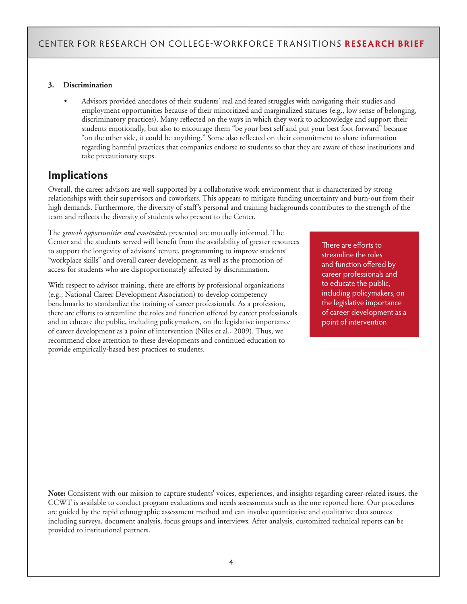#### **3. Discrimination**

• Advisors provided anecdotes of their students' real and feared struggles with navigating their studies and employment opportunities because of their minoritized and marginalized statuses (e.g., low sense of belonging, discriminatory practices). Many reflected on the ways in which they work to acknowledge and support their students emotionally, but also to encourage them "be your best self and put your best foot forward" because "on the other side, it could be anything." Some also reflected on their commitment to share information regarding harmful practices that companies endorse to students so that they are aware of these institutions and take precautionary steps.

## **Implications**

Overall, the career advisors are well-supported by a collaborative work environment that is characterized by strong relationships with their supervisors and coworkers. This appears to mitigate funding uncertainty and burn-out from their high demands. Furthermore, the diversity of staff's personal and training backgrounds contributes to the strength of the team and reflects the diversity of students who present to the Center.

The *growth opportunities and constraints* presented are mutually informed. The Center and the students served will benefit from the availability of greater resources to support the longevity of advisors' tenure, programming to improve students' "workplace skills" and overall career development, as well as the promotion of access for students who are disproportionately affected by discrimination.

With respect to advisor training, there are efforts by professional organizations (e.g., National Career Development Association) to develop competency benchmarks to standardize the training of career professionals. As a profession, there are efforts to streamline the roles and function offered by career professionals and to educate the public, including policymakers, on the legislative importance of career development as a point of intervention (Niles et al., 2009). Thus, we recommend close attention to these developments and continued education to provide empirically-based best practices to students.

There are efforts to streamline the roles and function offered by career professionals and to educate the public, including policymakers, on the legislative importance of career development as a point of intervention

**Note:** Consistent with our mission to capture students' voices, experiences, and insights regarding career-related issues, the CCWT is available to conduct program evaluations and needs assessments such as the one reported here. Our procedures are guided by the rapid ethnographic assessment method and can involve quantitative and qualitative data sources including surveys, document analysis, focus groups and interviews. After analysis, customized technical reports can be provided to institutional partners.